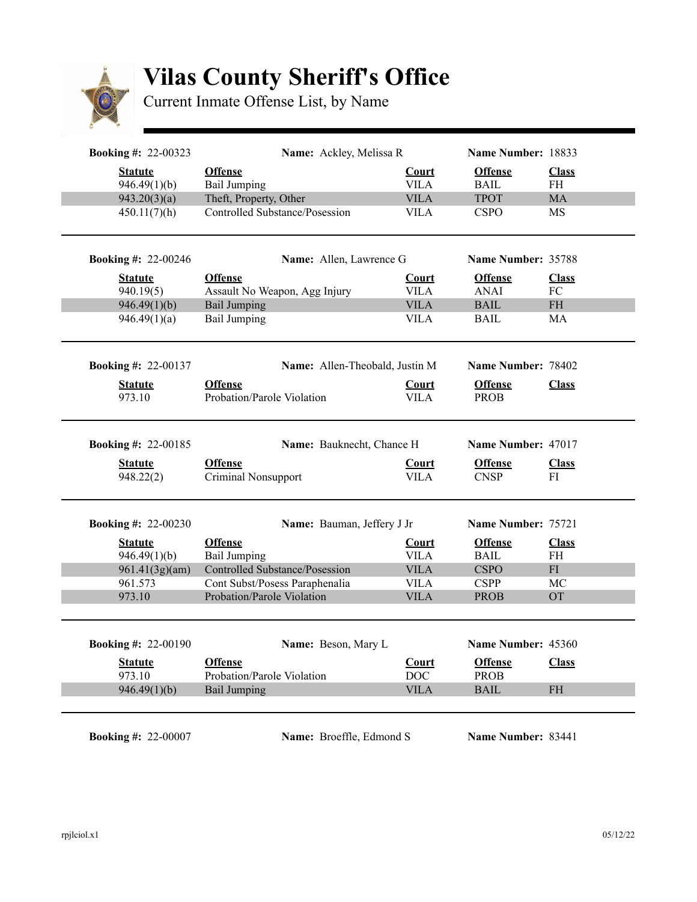

## **Vilas County Sheriff's Office**

Current Inmate Offense List, by Name

| <b>Booking #: 22-00323</b> | Name: Ackley, Melissa R                      |                            | Name Number: 18833            |                                   |
|----------------------------|----------------------------------------------|----------------------------|-------------------------------|-----------------------------------|
| <b>Statute</b>             | <b>Offense</b>                               | <b>Court</b>               | <b>Offense</b>                | <b>Class</b>                      |
| 946.49(1)(b)               | <b>Bail Jumping</b>                          | <b>VILA</b>                | <b>BAIL</b>                   | <b>FH</b>                         |
| 943.20(3)(a)               | Theft, Property, Other                       | <b>VILA</b>                | <b>TPOT</b>                   | <b>MA</b>                         |
| 450.11(7)(h)               | Controlled Substance/Posession               | <b>VILA</b>                | <b>CSPO</b>                   | <b>MS</b>                         |
| <b>Booking #: 22-00246</b> | <b>Name:</b> Allen, Lawrence G               |                            | Name Number: 35788            |                                   |
| <b>Statute</b>             | <b>Offense</b>                               | <b>Court</b>               | <b>Offense</b>                | <b>Class</b>                      |
| 940.19(5)                  | Assault No Weapon, Agg Injury                | <b>VILA</b>                | <b>ANAI</b>                   | FC                                |
| 946.49(1)(b)               | <b>Bail Jumping</b>                          | <b>VILA</b>                | <b>BAIL</b>                   | $\ensuremath{\mathsf{FH}}\xspace$ |
| 946.49(1)(a)               | <b>Bail Jumping</b>                          | <b>VILA</b>                | <b>BAIL</b>                   | MA                                |
| <b>Booking #: 22-00137</b> | Name: Allen-Theobald, Justin M               |                            | Name Number: 78402            |                                   |
| <b>Statute</b>             | <b>Offense</b>                               | <b>Court</b>               | <b>Offense</b>                | <b>Class</b>                      |
| 973.10                     | Probation/Parole Violation                   | VILA                       | <b>PROB</b>                   |                                   |
|                            |                                              |                            |                               |                                   |
| <b>Booking #: 22-00185</b> | Name: Bauknecht, Chance H                    |                            | Name Number: 47017            |                                   |
| <b>Statute</b>             | <b>Offense</b>                               | <b>Court</b>               | <b>Offense</b>                | <b>Class</b>                      |
| 948.22(2)                  | <b>Criminal Nonsupport</b>                   | <b>VILA</b>                | <b>CNSP</b>                   | FI                                |
| <b>Booking #: 22-00230</b> | Name: Bauman, Jeffery J Jr                   |                            | Name Number: 75721            |                                   |
| <b>Statute</b>             | <b>Offense</b>                               | <b>Court</b>               | <b>Offense</b>                | <b>Class</b>                      |
| 946.49(1)(b)               | <b>Bail Jumping</b>                          | <b>VILA</b>                | <b>BAIL</b>                   | <b>FH</b>                         |
| 961.41(3g)(am)             | <b>Controlled Substance/Posession</b>        | <b>VILA</b>                | <b>CSPO</b>                   | FI                                |
| 961.573                    | Cont Subst/Posess Paraphenalia               | <b>VILA</b>                | <b>CSPP</b>                   | MC                                |
|                            | Probation/Parole Violation                   | <b>VILA</b>                | <b>PROB</b>                   | <b>OT</b>                         |
| 973.10                     |                                              |                            |                               |                                   |
|                            |                                              |                            | Name Number: 45360            |                                   |
| <b>Booking #: 22-00190</b> | Name: Beson, Mary L                          |                            |                               |                                   |
| <b>Statute</b><br>973.10   | <b>Offense</b><br>Probation/Parole Violation | <b>Court</b><br><b>DOC</b> | <b>Offense</b><br><b>PROB</b> | <b>Class</b>                      |

**Booking #: 22-00007 Name:** Broeffle, Edmond S Name Number: 83441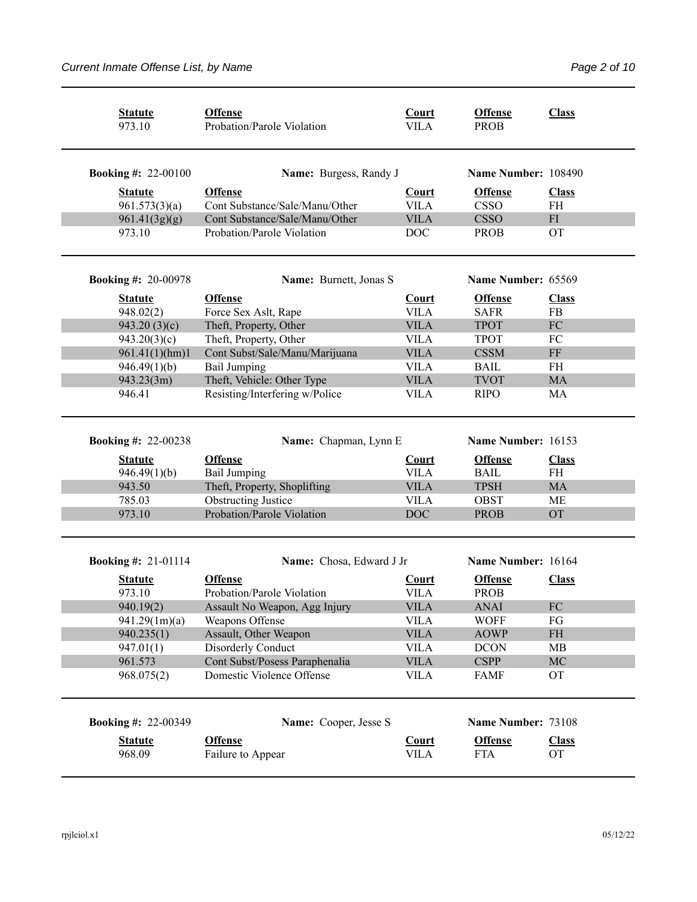| <b>Statute</b><br>973.10        | <b>Offense</b><br>Probation/Parole Violation     | Court<br><b>VILA</b>        | <b>Offense</b><br><b>PROB</b> | <b>Class</b>              |
|---------------------------------|--------------------------------------------------|-----------------------------|-------------------------------|---------------------------|
| <b>Booking #: 22-00100</b>      | Name: Burgess, Randy J                           |                             | Name Number: 108490           |                           |
| <b>Statute</b><br>961.573(3)(a) | <b>Offense</b><br>Cont Substance/Sale/Manu/Other | Court<br><b>VILA</b>        | <b>Offense</b><br><b>CSSO</b> | <b>Class</b><br><b>FH</b> |
| 961.41(3g)(g)                   | Cont Substance/Sale/Manu/Other                   | <b>VILA</b>                 | <b>CSSO</b>                   | ${\rm FI}$                |
| 973.10                          | Probation/Parole Violation                       | <b>DOC</b>                  | <b>PROB</b>                   | <b>OT</b>                 |
| <b>Booking #: 20-00978</b>      | Name: Burnett, Jonas S                           |                             | Name Number: 65569            |                           |
| <b>Statute</b>                  | <b>Offense</b>                                   | <b>Court</b>                | <b>Offense</b>                | <b>Class</b>              |
| 948.02(2)                       | Force Sex Aslt, Rape                             | <b>VILA</b>                 | <b>SAFR</b>                   | <b>FB</b>                 |
| 943.20(3)(c)                    | Theft, Property, Other                           | <b>VILA</b>                 | <b>TPOT</b>                   | ${\rm FC}$                |
| 943.20(3)(c)                    | Theft, Property, Other                           | <b>VILA</b>                 | <b>TPOT</b>                   | FC                        |
| 961.41(1)(hm)1                  | Cont Subst/Sale/Manu/Marijuana                   | <b>VILA</b>                 | <b>CSSM</b>                   | $\rm FF$                  |
| 946.49(1)(b)                    | <b>Bail Jumping</b>                              | <b>VILA</b>                 | <b>BAIL</b>                   | <b>FH</b>                 |
| 943.23(3m)                      | Theft, Vehicle: Other Type                       | <b>VILA</b>                 | <b>TVOT</b>                   | <b>MA</b>                 |
| 946.41                          | Resisting/Interfering w/Police                   | <b>VILA</b>                 | <b>RIPO</b>                   | MA                        |
| <b>Booking #: 22-00238</b>      | Name: Chapman, Lynn E                            |                             | Name Number: 16153            |                           |
| <b>Statute</b>                  | <b>Offense</b>                                   | <b>Court</b>                | <b>Offense</b>                | <b>Class</b>              |
| 946.49(1)(b)                    | <b>Bail Jumping</b>                              | <b>VILA</b>                 | <b>BAIL</b>                   | <b>FH</b>                 |
| 943.50                          | Theft, Property, Shoplifting                     | <b>VILA</b>                 | <b>TPSH</b>                   | <b>MA</b>                 |
| 785.03                          | <b>Obstructing Justice</b>                       | <b>VILA</b>                 | <b>OBST</b>                   | <b>ME</b>                 |
| 973.10                          | Probation/Parole Violation                       | <b>DOC</b>                  | <b>PROB</b>                   | <b>OT</b>                 |
| <b>Booking #: 21-01114</b>      | Name: Chosa, Edward J Jr                         |                             | Name Number: 16164            |                           |
| <b>Statute</b><br>973.10        | <b>Offense</b><br>Probation/Parole Violation     | <b>Court</b><br><b>VILA</b> | <b>Offense</b><br><b>PROB</b> | <b>Class</b>              |
| 940.19(2)                       | Assault No Weapon, Agg Injury                    | <b>VILA</b>                 | <b>ANAI</b>                   | FC                        |
| 941.29(1m)(a)                   | Weapons Offense                                  | <b>VILA</b>                 | <b>WOFF</b>                   | FG                        |
| 940.235(1)                      | Assault, Other Weapon                            | <b>VILA</b>                 | <b>AOWP</b>                   | $\rm FH$                  |
| 947.01(1)                       | Disorderly Conduct                               | <b>VILA</b>                 | <b>DCON</b>                   | MB                        |
| 961.573                         | Cont Subst/Posess Paraphenalia                   | <b>VILA</b>                 | <b>CSPP</b>                   | $\rm MC$                  |
| 968.075(2)                      | Domestic Violence Offense                        | <b>VILA</b>                 | <b>FAMF</b>                   | <b>OT</b>                 |
| <b>Booking #: 22-00349</b>      | Name: Cooper, Jesse S                            |                             | Name Number: 73108            |                           |
| <b>Statute</b>                  | <b>Offense</b>                                   | Court                       | <b>Offense</b>                | <b>Class</b>              |
| 968.09                          | Failure to Appear                                | <b>VILA</b>                 | <b>FTA</b>                    | <b>OT</b>                 |
|                                 |                                                  |                             |                               |                           |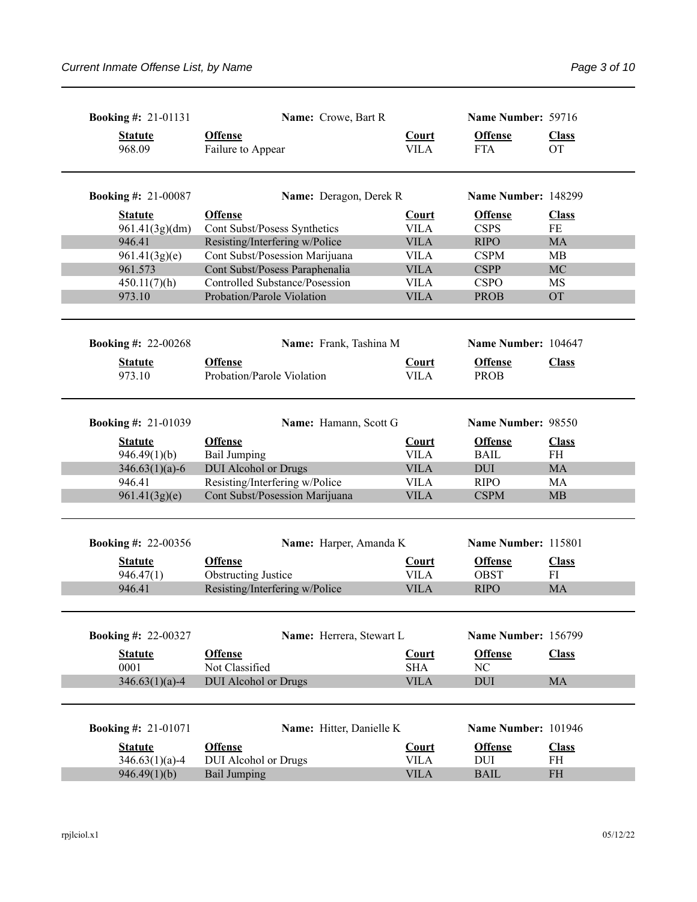| <b>Booking #: 21-01131</b> | Name: Crowe, Bart R                          |                             | Name Number: 59716            |                           |
|----------------------------|----------------------------------------------|-----------------------------|-------------------------------|---------------------------|
| <b>Statute</b><br>968.09   | <b>Offense</b><br>Failure to Appear          | <b>Court</b><br><b>VILA</b> | <b>Offense</b><br><b>FTA</b>  | <b>Class</b><br><b>OT</b> |
| <b>Booking #: 21-00087</b> | Name: Deragon, Derek R                       |                             | Name Number: 148299           |                           |
| <b>Statute</b>             | <b>Offense</b>                               | <b>Court</b>                | <b>Offense</b>                | <b>Class</b>              |
| 961.41(3g)(dm)             | Cont Subst/Posess Synthetics                 | <b>VILA</b>                 | <b>CSPS</b>                   | $\rm FE$                  |
| 946.41                     | Resisting/Interfering w/Police               | <b>VILA</b>                 | <b>RIPO</b>                   | MA                        |
| 961.41(3g)(e)              | Cont Subst/Posession Marijuana               | <b>VILA</b>                 | <b>CSPM</b>                   | MB                        |
| 961.573                    | Cont Subst/Posess Paraphenalia               | <b>VILA</b>                 | <b>CSPP</b>                   | MC                        |
| 450.11(7)(h)               | Controlled Substance/Posession               | <b>VILA</b>                 | <b>CSPO</b>                   | MS                        |
| 973.10                     | Probation/Parole Violation                   | <b>VILA</b>                 | <b>PROB</b>                   | <b>OT</b>                 |
| <b>Booking #: 22-00268</b> | Name: Frank, Tashina M                       |                             | Name Number: 104647           |                           |
| <b>Statute</b><br>973.10   | <b>Offense</b><br>Probation/Parole Violation | <b>Court</b><br><b>VILA</b> | <b>Offense</b><br><b>PROB</b> | <b>Class</b>              |
| <b>Booking #: 21-01039</b> | Name: Hamann, Scott G                        |                             | Name Number: 98550            |                           |
| <b>Statute</b>             | <b>Offense</b>                               | <b>Court</b>                | <b>Offense</b>                | <b>Class</b>              |
| 946.49(1)(b)               | <b>Bail Jumping</b>                          | <b>VILA</b>                 | <b>BAIL</b>                   | <b>FH</b>                 |
| $346.63(1)(a)-6$           | <b>DUI</b> Alcohol or Drugs                  | <b>VILA</b>                 | <b>DUI</b>                    | <b>MA</b>                 |
| 946.41                     | Resisting/Interfering w/Police               | <b>VILA</b>                 | <b>RIPO</b>                   | MA                        |
| 961.41(3g)(e)              | Cont Subst/Posession Marijuana               | <b>VILA</b>                 | <b>CSPM</b>                   | MB                        |
| <b>Booking #: 22-00356</b> | Name: Harper, Amanda K                       |                             | Name Number: 115801           |                           |
| <b>Statute</b>             | <b>Offense</b>                               | <b>Court</b>                | <b>Offense</b>                | <b>Class</b>              |
| 946.47(1)                  | <b>Obstructing Justice</b>                   | <b>VILA</b>                 | <b>OBST</b>                   | FI                        |
| 946.41                     | Resisting/Interfering w/Police               | <b>VILA</b>                 | <b>RIPO</b>                   | <b>MA</b>                 |
| <b>Booking #: 22-00327</b> | Name: Herrera, Stewart L                     |                             | Name Number: 156799           |                           |
| <b>Statute</b>             | <b>Offense</b>                               | <b>Court</b>                | <b>Offense</b>                | <b>Class</b>              |
| 0001                       | Not Classified                               | <b>SHA</b>                  | NC                            |                           |
| $346.63(1)(a) - 4$         | <b>DUI</b> Alcohol or Drugs                  | <b>VILA</b>                 | <b>DUI</b>                    | MA                        |
| <b>Booking #: 21-01071</b> | Name: Hitter, Danielle K                     |                             | Name Number: 101946           |                           |
| <b>Statute</b>             | <b>Offense</b>                               | <b>Court</b>                | <b>Offense</b>                | <b>Class</b>              |
| $346.63(1)(a)-4$           | DUI Alcohol or Drugs                         | <b>VILA</b>                 | DUI                           | FH                        |
| 946.49(1)(b)               | <b>Bail Jumping</b>                          | <b>VILA</b>                 | <b>BAIL</b>                   | $\rm FH$                  |
|                            |                                              |                             |                               |                           |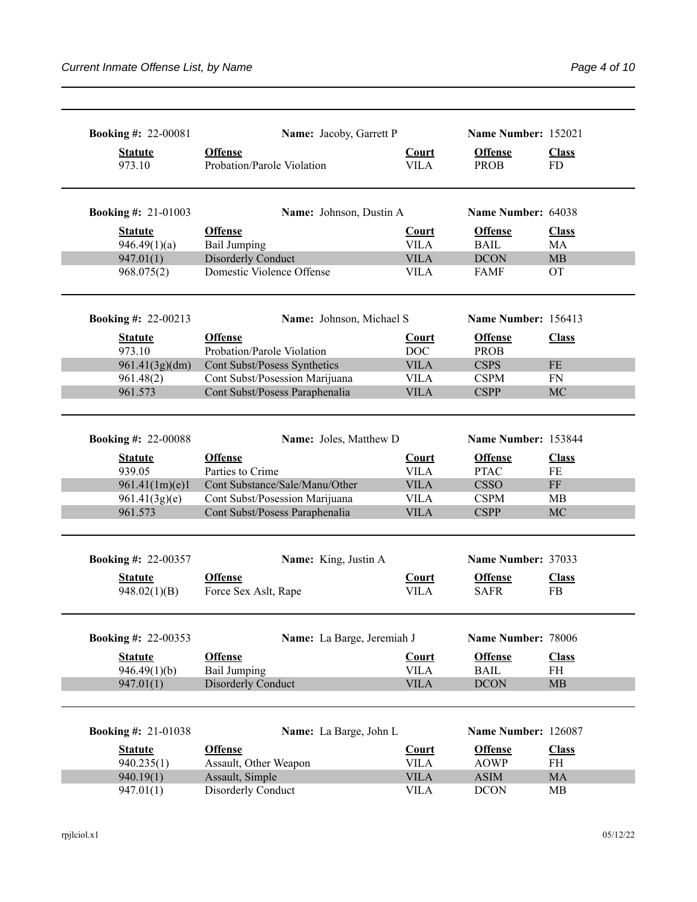| <b>Offense</b><br><b>Offense</b><br><b>Statute</b><br><b>Court</b><br><b>Class</b><br>Probation/Parole Violation<br><b>VILA</b><br>973.10<br><b>PROB</b><br><b>FD</b><br>Name Number: 64038<br>Name: Johnson, Dustin A<br><b>Offense</b><br><b>Offense</b><br><b>Statute</b><br><b>Court</b><br><b>Class</b><br><b>Bail Jumping</b><br><b>VILA</b><br><b>BAIL</b><br>946.49(1)(a)<br><b>MA</b><br><b>Disorderly Conduct</b><br><b>VILA</b><br>947.01(1)<br><b>DCON</b><br>MB<br>Domestic Violence Offense<br><b>VILA</b><br>968.075(2)<br><b>FAMF</b><br><b>OT</b><br>Name Number: 156413<br>Name: Johnson, Michael S<br><b>Offense</b><br><b>Offense</b><br><b>Class</b><br><b>Statute</b><br><b>Court</b><br>Probation/Parole Violation<br>DOC<br>973.10<br><b>PROB</b><br><b>VILA</b><br>961.41(3g)(dm)<br>Cont Subst/Posess Synthetics<br><b>CSPS</b><br>$\rm FE$<br>Cont Subst/Posession Marijuana<br><b>VILA</b><br>961.48(2)<br><b>CSPM</b><br>FN<br>961.573<br>Cont Subst/Posess Paraphenalia<br><b>VILA</b><br><b>CSPP</b><br><b>MC</b><br>Name Number: 153844<br><b>Booking #: 22-00088</b><br>Name: Joles, Matthew D<br><b>Offense</b><br><b>Offense</b><br><b>Court</b><br><b>Class</b><br><b>Statute</b><br>939.05<br>Parties to Crime<br><b>VILA</b><br><b>PTAC</b><br>FE<br>961.41(1m)(e)1<br>Cont Substance/Sale/Manu/Other<br><b>VILA</b><br><b>CSSO</b><br>FF<br>Cont Subst/Posession Marijuana<br><b>VILA</b><br><b>CSPM</b><br>961.41(3g)(e)<br><b>MB</b><br>961.573<br>Cont Subst/Posess Paraphenalia<br><b>VILA</b><br><b>CSPP</b><br>MC<br>Name Number: 37033<br>Name: King, Justin A<br><b>Booking #: 22-00357</b><br><b>Offense</b><br><b>Offense</b><br><b>Statute</b><br><b>Court</b><br><b>Class</b><br>948.02(1)(B)<br>Force Sex Aslt, Rape<br><b>VILA</b><br><b>SAFR</b><br><b>FB</b><br>Name Number: 78006<br><b>Booking #: 22-00353</b><br>Name: La Barge, Jeremiah J<br><b>Offense</b><br><b>Offense</b><br>Court<br><b>Statute</b><br><b>Class</b><br><b>Bail Jumping</b><br>946.49(1)(b)<br><b>VILA</b><br><b>BAIL</b><br>FH<br>947.01(1)<br><b>Disorderly Conduct</b><br><b>VILA</b><br><b>DCON</b><br>MB<br>Name: La Barge, John L<br>Name Number: 126087<br><b>Offense</b><br><b>Offense</b><br><b>Class</b><br><b>Court</b><br><b>Statute</b><br>Assault, Other Weapon<br>940.235(1)<br><b>VILA</b><br><b>AOWP</b><br><b>FH</b><br>940.19(1)<br>Assault, Simple<br><b>VILA</b><br><b>ASIM</b><br>MA | <b>Booking #: 22-00081</b> | Name: Jacoby, Garrett P |             | Name Number: 152021 |    |
|--------------------------------------------------------------------------------------------------------------------------------------------------------------------------------------------------------------------------------------------------------------------------------------------------------------------------------------------------------------------------------------------------------------------------------------------------------------------------------------------------------------------------------------------------------------------------------------------------------------------------------------------------------------------------------------------------------------------------------------------------------------------------------------------------------------------------------------------------------------------------------------------------------------------------------------------------------------------------------------------------------------------------------------------------------------------------------------------------------------------------------------------------------------------------------------------------------------------------------------------------------------------------------------------------------------------------------------------------------------------------------------------------------------------------------------------------------------------------------------------------------------------------------------------------------------------------------------------------------------------------------------------------------------------------------------------------------------------------------------------------------------------------------------------------------------------------------------------------------------------------------------------------------------------------------------------------------------------------------------------------------------------------------------------------------------------------------------------------------------------------------------------------------------------------------------------------------------------------------------------------------------------------------------------------------------------------------------------------------------------------------------------------------------------------------------------|----------------------------|-------------------------|-------------|---------------------|----|
|                                                                                                                                                                                                                                                                                                                                                                                                                                                                                                                                                                                                                                                                                                                                                                                                                                                                                                                                                                                                                                                                                                                                                                                                                                                                                                                                                                                                                                                                                                                                                                                                                                                                                                                                                                                                                                                                                                                                                                                                                                                                                                                                                                                                                                                                                                                                                                                                                                            |                            |                         |             |                     |    |
|                                                                                                                                                                                                                                                                                                                                                                                                                                                                                                                                                                                                                                                                                                                                                                                                                                                                                                                                                                                                                                                                                                                                                                                                                                                                                                                                                                                                                                                                                                                                                                                                                                                                                                                                                                                                                                                                                                                                                                                                                                                                                                                                                                                                                                                                                                                                                                                                                                            | <b>Booking #: 21-01003</b> |                         |             |                     |    |
|                                                                                                                                                                                                                                                                                                                                                                                                                                                                                                                                                                                                                                                                                                                                                                                                                                                                                                                                                                                                                                                                                                                                                                                                                                                                                                                                                                                                                                                                                                                                                                                                                                                                                                                                                                                                                                                                                                                                                                                                                                                                                                                                                                                                                                                                                                                                                                                                                                            |                            |                         |             |                     |    |
|                                                                                                                                                                                                                                                                                                                                                                                                                                                                                                                                                                                                                                                                                                                                                                                                                                                                                                                                                                                                                                                                                                                                                                                                                                                                                                                                                                                                                                                                                                                                                                                                                                                                                                                                                                                                                                                                                                                                                                                                                                                                                                                                                                                                                                                                                                                                                                                                                                            |                            |                         |             |                     |    |
|                                                                                                                                                                                                                                                                                                                                                                                                                                                                                                                                                                                                                                                                                                                                                                                                                                                                                                                                                                                                                                                                                                                                                                                                                                                                                                                                                                                                                                                                                                                                                                                                                                                                                                                                                                                                                                                                                                                                                                                                                                                                                                                                                                                                                                                                                                                                                                                                                                            |                            |                         |             |                     |    |
|                                                                                                                                                                                                                                                                                                                                                                                                                                                                                                                                                                                                                                                                                                                                                                                                                                                                                                                                                                                                                                                                                                                                                                                                                                                                                                                                                                                                                                                                                                                                                                                                                                                                                                                                                                                                                                                                                                                                                                                                                                                                                                                                                                                                                                                                                                                                                                                                                                            |                            |                         |             |                     |    |
|                                                                                                                                                                                                                                                                                                                                                                                                                                                                                                                                                                                                                                                                                                                                                                                                                                                                                                                                                                                                                                                                                                                                                                                                                                                                                                                                                                                                                                                                                                                                                                                                                                                                                                                                                                                                                                                                                                                                                                                                                                                                                                                                                                                                                                                                                                                                                                                                                                            | <b>Booking #: 22-00213</b> |                         |             |                     |    |
|                                                                                                                                                                                                                                                                                                                                                                                                                                                                                                                                                                                                                                                                                                                                                                                                                                                                                                                                                                                                                                                                                                                                                                                                                                                                                                                                                                                                                                                                                                                                                                                                                                                                                                                                                                                                                                                                                                                                                                                                                                                                                                                                                                                                                                                                                                                                                                                                                                            |                            |                         |             |                     |    |
|                                                                                                                                                                                                                                                                                                                                                                                                                                                                                                                                                                                                                                                                                                                                                                                                                                                                                                                                                                                                                                                                                                                                                                                                                                                                                                                                                                                                                                                                                                                                                                                                                                                                                                                                                                                                                                                                                                                                                                                                                                                                                                                                                                                                                                                                                                                                                                                                                                            |                            |                         |             |                     |    |
|                                                                                                                                                                                                                                                                                                                                                                                                                                                                                                                                                                                                                                                                                                                                                                                                                                                                                                                                                                                                                                                                                                                                                                                                                                                                                                                                                                                                                                                                                                                                                                                                                                                                                                                                                                                                                                                                                                                                                                                                                                                                                                                                                                                                                                                                                                                                                                                                                                            |                            |                         |             |                     |    |
|                                                                                                                                                                                                                                                                                                                                                                                                                                                                                                                                                                                                                                                                                                                                                                                                                                                                                                                                                                                                                                                                                                                                                                                                                                                                                                                                                                                                                                                                                                                                                                                                                                                                                                                                                                                                                                                                                                                                                                                                                                                                                                                                                                                                                                                                                                                                                                                                                                            |                            |                         |             |                     |    |
|                                                                                                                                                                                                                                                                                                                                                                                                                                                                                                                                                                                                                                                                                                                                                                                                                                                                                                                                                                                                                                                                                                                                                                                                                                                                                                                                                                                                                                                                                                                                                                                                                                                                                                                                                                                                                                                                                                                                                                                                                                                                                                                                                                                                                                                                                                                                                                                                                                            |                            |                         |             |                     |    |
|                                                                                                                                                                                                                                                                                                                                                                                                                                                                                                                                                                                                                                                                                                                                                                                                                                                                                                                                                                                                                                                                                                                                                                                                                                                                                                                                                                                                                                                                                                                                                                                                                                                                                                                                                                                                                                                                                                                                                                                                                                                                                                                                                                                                                                                                                                                                                                                                                                            |                            |                         |             |                     |    |
|                                                                                                                                                                                                                                                                                                                                                                                                                                                                                                                                                                                                                                                                                                                                                                                                                                                                                                                                                                                                                                                                                                                                                                                                                                                                                                                                                                                                                                                                                                                                                                                                                                                                                                                                                                                                                                                                                                                                                                                                                                                                                                                                                                                                                                                                                                                                                                                                                                            |                            |                         |             |                     |    |
|                                                                                                                                                                                                                                                                                                                                                                                                                                                                                                                                                                                                                                                                                                                                                                                                                                                                                                                                                                                                                                                                                                                                                                                                                                                                                                                                                                                                                                                                                                                                                                                                                                                                                                                                                                                                                                                                                                                                                                                                                                                                                                                                                                                                                                                                                                                                                                                                                                            |                            |                         |             |                     |    |
|                                                                                                                                                                                                                                                                                                                                                                                                                                                                                                                                                                                                                                                                                                                                                                                                                                                                                                                                                                                                                                                                                                                                                                                                                                                                                                                                                                                                                                                                                                                                                                                                                                                                                                                                                                                                                                                                                                                                                                                                                                                                                                                                                                                                                                                                                                                                                                                                                                            |                            |                         |             |                     |    |
|                                                                                                                                                                                                                                                                                                                                                                                                                                                                                                                                                                                                                                                                                                                                                                                                                                                                                                                                                                                                                                                                                                                                                                                                                                                                                                                                                                                                                                                                                                                                                                                                                                                                                                                                                                                                                                                                                                                                                                                                                                                                                                                                                                                                                                                                                                                                                                                                                                            |                            |                         |             |                     |    |
|                                                                                                                                                                                                                                                                                                                                                                                                                                                                                                                                                                                                                                                                                                                                                                                                                                                                                                                                                                                                                                                                                                                                                                                                                                                                                                                                                                                                                                                                                                                                                                                                                                                                                                                                                                                                                                                                                                                                                                                                                                                                                                                                                                                                                                                                                                                                                                                                                                            |                            |                         |             |                     |    |
|                                                                                                                                                                                                                                                                                                                                                                                                                                                                                                                                                                                                                                                                                                                                                                                                                                                                                                                                                                                                                                                                                                                                                                                                                                                                                                                                                                                                                                                                                                                                                                                                                                                                                                                                                                                                                                                                                                                                                                                                                                                                                                                                                                                                                                                                                                                                                                                                                                            |                            |                         |             |                     |    |
|                                                                                                                                                                                                                                                                                                                                                                                                                                                                                                                                                                                                                                                                                                                                                                                                                                                                                                                                                                                                                                                                                                                                                                                                                                                                                                                                                                                                                                                                                                                                                                                                                                                                                                                                                                                                                                                                                                                                                                                                                                                                                                                                                                                                                                                                                                                                                                                                                                            |                            |                         |             |                     |    |
|                                                                                                                                                                                                                                                                                                                                                                                                                                                                                                                                                                                                                                                                                                                                                                                                                                                                                                                                                                                                                                                                                                                                                                                                                                                                                                                                                                                                                                                                                                                                                                                                                                                                                                                                                                                                                                                                                                                                                                                                                                                                                                                                                                                                                                                                                                                                                                                                                                            |                            |                         |             |                     |    |
|                                                                                                                                                                                                                                                                                                                                                                                                                                                                                                                                                                                                                                                                                                                                                                                                                                                                                                                                                                                                                                                                                                                                                                                                                                                                                                                                                                                                                                                                                                                                                                                                                                                                                                                                                                                                                                                                                                                                                                                                                                                                                                                                                                                                                                                                                                                                                                                                                                            |                            |                         |             |                     |    |
|                                                                                                                                                                                                                                                                                                                                                                                                                                                                                                                                                                                                                                                                                                                                                                                                                                                                                                                                                                                                                                                                                                                                                                                                                                                                                                                                                                                                                                                                                                                                                                                                                                                                                                                                                                                                                                                                                                                                                                                                                                                                                                                                                                                                                                                                                                                                                                                                                                            |                            |                         |             |                     |    |
|                                                                                                                                                                                                                                                                                                                                                                                                                                                                                                                                                                                                                                                                                                                                                                                                                                                                                                                                                                                                                                                                                                                                                                                                                                                                                                                                                                                                                                                                                                                                                                                                                                                                                                                                                                                                                                                                                                                                                                                                                                                                                                                                                                                                                                                                                                                                                                                                                                            |                            |                         |             |                     |    |
|                                                                                                                                                                                                                                                                                                                                                                                                                                                                                                                                                                                                                                                                                                                                                                                                                                                                                                                                                                                                                                                                                                                                                                                                                                                                                                                                                                                                                                                                                                                                                                                                                                                                                                                                                                                                                                                                                                                                                                                                                                                                                                                                                                                                                                                                                                                                                                                                                                            |                            |                         |             |                     |    |
|                                                                                                                                                                                                                                                                                                                                                                                                                                                                                                                                                                                                                                                                                                                                                                                                                                                                                                                                                                                                                                                                                                                                                                                                                                                                                                                                                                                                                                                                                                                                                                                                                                                                                                                                                                                                                                                                                                                                                                                                                                                                                                                                                                                                                                                                                                                                                                                                                                            | <b>Booking #: 21-01038</b> |                         |             |                     |    |
|                                                                                                                                                                                                                                                                                                                                                                                                                                                                                                                                                                                                                                                                                                                                                                                                                                                                                                                                                                                                                                                                                                                                                                                                                                                                                                                                                                                                                                                                                                                                                                                                                                                                                                                                                                                                                                                                                                                                                                                                                                                                                                                                                                                                                                                                                                                                                                                                                                            |                            |                         |             |                     |    |
|                                                                                                                                                                                                                                                                                                                                                                                                                                                                                                                                                                                                                                                                                                                                                                                                                                                                                                                                                                                                                                                                                                                                                                                                                                                                                                                                                                                                                                                                                                                                                                                                                                                                                                                                                                                                                                                                                                                                                                                                                                                                                                                                                                                                                                                                                                                                                                                                                                            |                            |                         |             |                     |    |
|                                                                                                                                                                                                                                                                                                                                                                                                                                                                                                                                                                                                                                                                                                                                                                                                                                                                                                                                                                                                                                                                                                                                                                                                                                                                                                                                                                                                                                                                                                                                                                                                                                                                                                                                                                                                                                                                                                                                                                                                                                                                                                                                                                                                                                                                                                                                                                                                                                            | 947.01(1)                  | Disorderly Conduct      | <b>VILA</b> | <b>DCON</b>         | MB |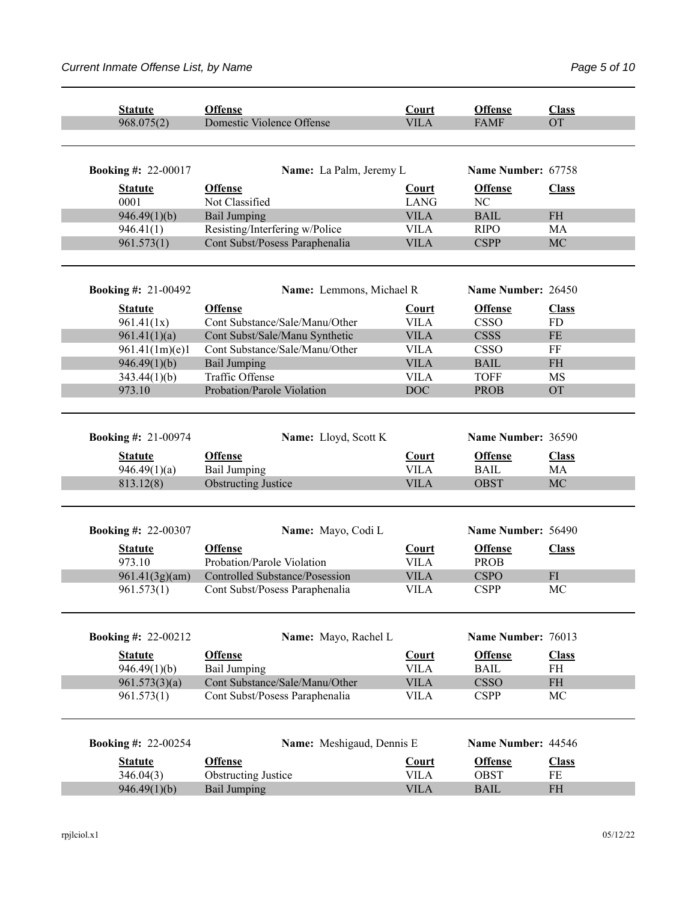| <b>Statute</b>                 | <b>Offense</b>                        | Court                       | <b>Offense</b>                | <b>Class</b>              |
|--------------------------------|---------------------------------------|-----------------------------|-------------------------------|---------------------------|
| 968.075(2)                     | Domestic Violence Offense             | <b>VILA</b>                 | <b>FAMF</b>                   | <b>OT</b>                 |
|                                |                                       |                             |                               |                           |
|                                |                                       |                             |                               |                           |
| <b>Booking #: 22-00017</b>     | Name: La Palm, Jeremy L               |                             | Name Number: 67758            |                           |
| <b>Statute</b>                 | <b>Offense</b>                        | Court                       | <b>Offense</b>                | <b>Class</b>              |
| 0001                           | Not Classified                        | <b>LANG</b>                 | NC                            |                           |
| 946.49(1)(b)                   | <b>Bail Jumping</b>                   | <b>VILA</b>                 | <b>BAIL</b>                   | <b>FH</b>                 |
| 946.41(1)                      | Resisting/Interfering w/Police        | <b>VILA</b>                 | <b>RIPO</b>                   | MA                        |
| 961.573(1)                     | Cont Subst/Posess Paraphenalia        | <b>VILA</b>                 | <b>CSPP</b>                   | <b>MC</b>                 |
|                                |                                       |                             |                               |                           |
| <b>Booking #: 21-00492</b>     | Name: Lemmons, Michael R              |                             | Name Number: 26450            |                           |
|                                | <b>Offense</b>                        |                             | <b>Offense</b>                |                           |
| <b>Statute</b><br>961.41(1x)   | Cont Substance/Sale/Manu/Other        | <b>Court</b><br><b>VILA</b> | <b>CSSO</b>                   | <b>Class</b><br><b>FD</b> |
|                                | Cont Subst/Sale/Manu Synthetic        | <b>VILA</b>                 | <b>CSSS</b>                   | $\rm FE$                  |
| 961.41(1)(a)                   |                                       |                             |                               |                           |
| 961.41(1m)(e)1                 | Cont Substance/Sale/Manu/Other        | <b>VILA</b>                 | <b>CSSO</b>                   | FF                        |
| 946.49(1)(b)                   | <b>Bail Jumping</b>                   | <b>VILA</b>                 | <b>BAIL</b>                   | <b>FH</b>                 |
| 343.44(1)(b)                   | Traffic Offense                       | <b>VILA</b>                 | <b>TOFF</b>                   | MS                        |
| 973.10                         | Probation/Parole Violation            | <b>DOC</b>                  | <b>PROB</b>                   | <b>OT</b>                 |
|                                |                                       |                             |                               |                           |
| <b>Booking #: 21-00974</b>     | Name: Lloyd, Scott K                  |                             | Name Number: 36590            |                           |
|                                |                                       |                             |                               |                           |
| <b>Statute</b><br>946.49(1)(a) | <b>Offense</b><br><b>Bail Jumping</b> | Court<br><b>VILA</b>        | <b>Offense</b><br><b>BAIL</b> | <b>Class</b><br>MA        |
| 813.12(8)                      | <b>Obstructing Justice</b>            | <b>VILA</b>                 | <b>OBST</b>                   | MC                        |
|                                |                                       |                             |                               |                           |
|                                |                                       |                             | Name Number: 56490            |                           |
| <b>Booking #: 22-00307</b>     | Name: Mayo, Codi L                    |                             |                               |                           |
| <b>Statute</b>                 | <b>Offense</b>                        | <b>Court</b>                | <b>Offense</b>                | <b>Class</b>              |
| 973.10                         | Probation/Parole Violation            | <b>VILA</b>                 | <b>PROB</b>                   |                           |
| 961.41(3g)(am)                 | Controlled Substance/Posession        | <b>VILA</b>                 | <b>CSPO</b>                   | FI                        |
| 961.573(1)                     | Cont Subst/Posess Paraphenalia        | <b>VILA</b>                 | <b>CSPP</b>                   | MC                        |
|                                |                                       |                             |                               |                           |
| <b>Booking #: 22-00212</b>     | Name: Mayo, Rachel L                  |                             | Name Number: 76013            |                           |
| <b>Statute</b>                 | <b>Offense</b>                        | Court                       | <b>Offense</b>                | <b>Class</b>              |
| 946.49(1)(b)                   | <b>Bail Jumping</b>                   | <b>VILA</b>                 | <b>BAIL</b>                   | $\rm FH$                  |
| 961.573(3)(a)                  | Cont Substance/Sale/Manu/Other        | <b>VILA</b>                 | <b>CSSO</b>                   | $\rm FH$                  |
| 961.573(1)                     | Cont Subst/Posess Paraphenalia        | <b>VILA</b>                 | <b>CSPP</b>                   | $\rm MC$                  |
|                                |                                       |                             |                               |                           |
| <b>Booking #: 22-00254</b>     | Name: Meshigaud, Dennis E             |                             | Name Number: 44546            |                           |
| <b>Statute</b>                 | <b>Offense</b>                        | Court                       | <b>Offense</b>                | <b>Class</b>              |
| 346.04(3)                      | <b>Obstructing Justice</b>            | <b>VILA</b>                 | OBST                          | $\rm FE$                  |
| 946.49(1)(b)                   | <b>Bail Jumping</b>                   | <b>VILA</b>                 | <b>BAIL</b>                   | <b>FH</b>                 |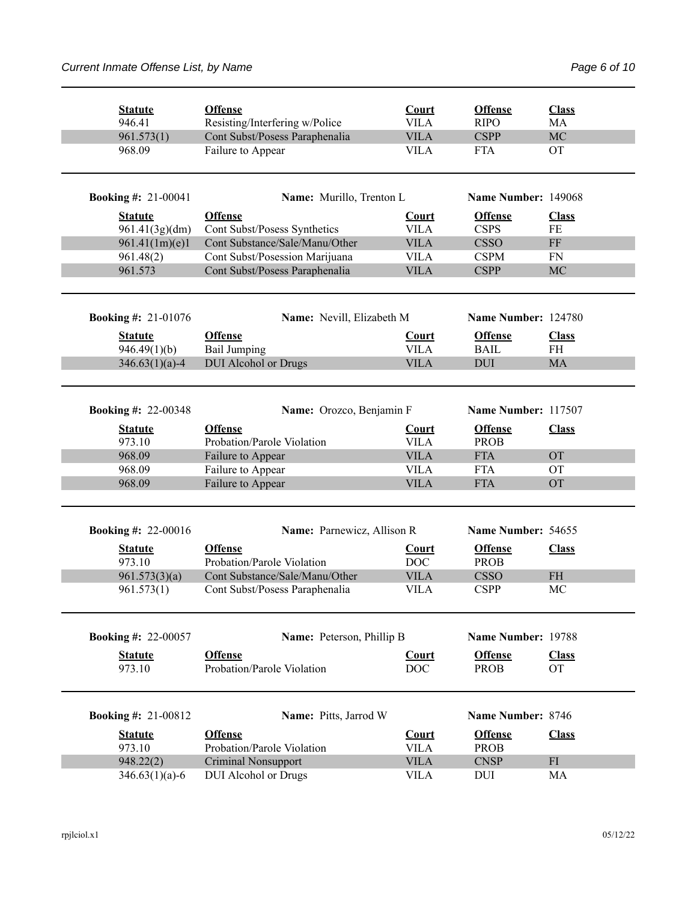| <b>Statute</b>             | <b>Offense</b>                                      | Court                      | <b>Offense</b>                | <b>Class</b>              |
|----------------------------|-----------------------------------------------------|----------------------------|-------------------------------|---------------------------|
| 946.41                     | Resisting/Interfering w/Police                      | <b>VILA</b>                | <b>RIPO</b>                   | MA                        |
| 961.573(1)<br>968.09       | Cont Subst/Posess Paraphenalia<br>Failure to Appear | <b>VILA</b><br><b>VILA</b> | <b>CSPP</b><br><b>FTA</b>     | <b>MC</b><br><b>OT</b>    |
|                            |                                                     |                            |                               |                           |
| <b>Booking #: 21-00041</b> | Name: Murillo, Trenton L                            |                            | Name Number: 149068           |                           |
| <b>Statute</b>             | <b>Offense</b>                                      | <b>Court</b>               | <b>Offense</b>                | <b>Class</b>              |
| 961.41(3g)(dm)             | Cont Subst/Posess Synthetics                        | <b>VILA</b>                | <b>CSPS</b>                   | FE                        |
| 961.41(1m)(e)1             | Cont Substance/Sale/Manu/Other                      | <b>VILA</b>                | <b>CSSO</b>                   | FF                        |
| 961.48(2)                  | Cont Subst/Posession Marijuana                      | <b>VILA</b>                | <b>CSPM</b>                   | FN                        |
| 961.573                    | Cont Subst/Posess Paraphenalia                      | <b>VILA</b>                | <b>CSPP</b>                   | <b>MC</b>                 |
|                            |                                                     |                            |                               |                           |
| <b>Booking #: 21-01076</b> | Name: Nevill, Elizabeth M                           |                            | Name Number: 124780           |                           |
| <b>Statute</b>             | <b>Offense</b>                                      | Court                      | <b>Offense</b>                | <b>Class</b>              |
| 946.49(1)(b)               | <b>Bail Jumping</b>                                 | <b>VILA</b>                | <b>BAIL</b>                   | <b>FH</b>                 |
| $346.63(1)(a)-4$           | <b>DUI</b> Alcohol or Drugs                         | <b>VILA</b>                | <b>DUI</b>                    | <b>MA</b>                 |
|                            |                                                     |                            |                               |                           |
| <b>Booking #: 22-00348</b> | Name: Orozco, Benjamin F                            |                            | Name Number: 117507           |                           |
|                            |                                                     |                            |                               |                           |
| <b>Statute</b><br>973.10   | <b>Offense</b><br>Probation/Parole Violation        | Court<br><b>VILA</b>       | <b>Offense</b><br><b>PROB</b> | <b>Class</b>              |
| 968.09                     |                                                     | <b>VILA</b>                | <b>FTA</b>                    | <b>OT</b>                 |
| 968.09                     | Failure to Appear                                   | <b>VILA</b>                | <b>FTA</b>                    | <b>OT</b>                 |
| 968.09                     | Failure to Appear                                   | <b>VILA</b>                | <b>FTA</b>                    | <b>OT</b>                 |
|                            | Failure to Appear                                   |                            |                               |                           |
| <b>Booking #: 22-00016</b> | Name: Parnewicz, Allison R                          |                            | Name Number: 54655            |                           |
|                            |                                                     |                            |                               |                           |
| <b>Statute</b>             | <b>Offense</b>                                      | <b>Court</b>               | <b>Offense</b>                | <b>Class</b>              |
| 973.10                     | Probation/Parole Violation                          | DOC                        | <b>PROB</b>                   |                           |
| 961.573(3)(a)              | Cont Substance/Sale/Manu/Other                      | <b>VILA</b>                | <b>CSSO</b>                   | <b>FH</b>                 |
| 961.573(1)                 | Cont Subst/Posess Paraphenalia                      | <b>VILA</b>                | <b>CSPP</b>                   | MC                        |
|                            |                                                     |                            |                               |                           |
| <b>Booking #: 22-00057</b> | Name: Peterson, Phillip B                           |                            | Name Number: 19788            |                           |
| <b>Statute</b><br>973.10   | <b>Offense</b><br>Probation/Parole Violation        | <b>Court</b><br><b>DOC</b> | <b>Offense</b><br><b>PROB</b> | <b>Class</b><br><b>OT</b> |
| <b>Booking #: 21-00812</b> | Name: Pitts, Jarrod W                               |                            | Name Number: 8746             |                           |
|                            |                                                     |                            |                               |                           |
| <b>Statute</b>             | <b>Offense</b>                                      | Court                      | <b>Offense</b>                | <b>Class</b>              |
| 973.10                     | Probation/Parole Violation                          | <b>VILA</b>                | <b>PROB</b>                   |                           |
| 948.22(2)                  | Criminal Nonsupport                                 | <b>VILA</b>                | <b>CNSP</b>                   | FI                        |
| $346.63(1)(a)-6$           | <b>DUI</b> Alcohol or Drugs                         | <b>VILA</b>                | <b>DUI</b>                    | MA                        |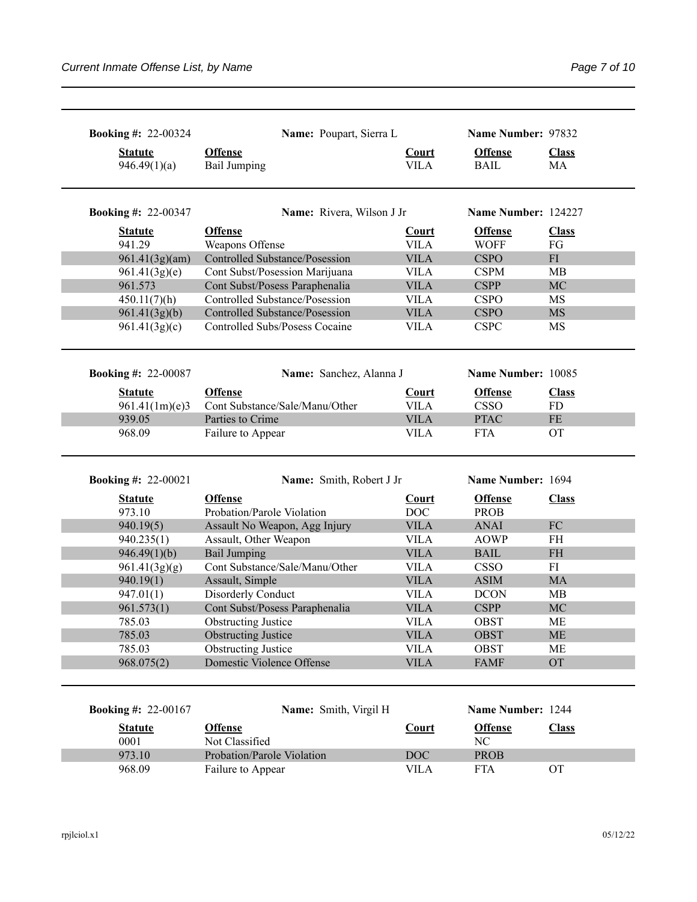| <b>Booking #: 22-00324</b>     | Name: Poupart, Sierra L                                          |                            | Name Number: 97832            |                    |
|--------------------------------|------------------------------------------------------------------|----------------------------|-------------------------------|--------------------|
| <b>Statute</b><br>946.49(1)(a) | <b>Offense</b><br><b>Bail Jumping</b>                            | Court<br><b>VILA</b>       | <b>Offense</b><br><b>BAIL</b> | <b>Class</b><br>MA |
| <b>Booking #: 22-00347</b>     | Name: Rivera, Wilson J Jr                                        |                            | Name Number: 124227           |                    |
| <b>Statute</b>                 | <b>Offense</b>                                                   | <b>Court</b>               | <b>Offense</b>                | <b>Class</b>       |
| 941.29                         | Weapons Offense                                                  | <b>VILA</b>                | <b>WOFF</b>                   | FG                 |
| 961.41(3g)(am)                 | <b>Controlled Substance/Posession</b>                            | <b>VILA</b><br><b>VILA</b> | <b>CSPO</b><br><b>CSPM</b>    | FI<br>MB           |
| 961.41(3g)(e)<br>961.573       | Cont Subst/Posession Marijuana                                   | <b>VILA</b>                | <b>CSPP</b>                   | MC                 |
|                                | Cont Subst/Posess Paraphenalia<br>Controlled Substance/Posession | <b>VILA</b>                | <b>CSPO</b>                   | MS                 |
| 450.11(7)(h)<br>961.41(3g)(b)  | <b>Controlled Substance/Posession</b>                            | <b>VILA</b>                | <b>CSPO</b>                   | <b>MS</b>          |
| 961.41(3g)(c)                  | Controlled Subs/Posess Cocaine                                   | <b>VILA</b>                | <b>CSPC</b>                   | MS                 |
| <b>Booking #: 22-00087</b>     | Name: Sanchez, Alanna J                                          |                            | Name Number: 10085            |                    |
| <b>Statute</b>                 | <b>Offense</b>                                                   | <b>Court</b>               | <b>Offense</b>                | <b>Class</b>       |
| 961.41(1m)(e)3                 | Cont Substance/Sale/Manu/Other                                   | <b>VILA</b>                | <b>CSSO</b>                   | FD                 |
| 939.05                         | Parties to Crime                                                 | <b>VILA</b>                | <b>PTAC</b>                   | $\rm FE$           |
|                                |                                                                  |                            |                               |                    |
| 968.09                         | Failure to Appear                                                | <b>VILA</b>                | <b>FTA</b>                    | <b>OT</b>          |
| <b>Booking #: 22-00021</b>     | Name: Smith, Robert J Jr                                         |                            | Name Number: 1694             |                    |
|                                | <b>Offense</b>                                                   |                            |                               |                    |
| <b>Statute</b><br>973.10       | Probation/Parole Violation                                       | <b>Court</b><br><b>DOC</b> | <b>Offense</b><br><b>PROB</b> | <b>Class</b>       |
| 940.19(5)                      | Assault No Weapon, Agg Injury                                    | <b>VILA</b>                | <b>ANAI</b>                   | ${\rm FC}$         |
| 940.235(1)                     | Assault, Other Weapon                                            | <b>VILA</b>                | <b>AOWP</b>                   | <b>FH</b>          |
| 946.49(1)(b)                   | <b>Bail Jumping</b>                                              | <b>VILA</b>                | <b>BAIL</b>                   | <b>FH</b>          |
|                                | Cont Substance/Sale/Manu/Other                                   | <b>VILA</b>                | <b>CSSO</b>                   | FI                 |
| 961.41(3g)(g)<br>940.19(1)     | Assault, Simple                                                  | <b>VILA</b>                | <b>ASIM</b>                   | MA                 |
| 947.01(1)                      | Disorderly Conduct                                               | <b>VILA</b>                | <b>DCON</b>                   | <b>MB</b>          |
| 961.573(1)                     | Cont Subst/Posess Paraphenalia                                   | <b>VILA</b>                | <b>CSPP</b>                   | MC                 |
| 785.03                         |                                                                  | <b>VILA</b>                | OBST                          | ME                 |
| 785.03                         | <b>Obstructing Justice</b><br><b>Obstructing Justice</b>         | <b>VILA</b>                | <b>OBST</b>                   | <b>ME</b>          |
| 785.03                         | <b>Obstructing Justice</b>                                       | <b>VILA</b>                | <b>OBST</b>                   | <b>ME</b>          |
| 968.075(2)                     | Domestic Violence Offense                                        | <b>VILA</b>                | <b>FAMF</b>                   | OT                 |
| <b>Booking #: 22-00167</b>     | Name: Smith, Virgil H                                            |                            | Name Number: 1244             |                    |
|                                |                                                                  |                            |                               |                    |
| <b>Statute</b>                 | <b>Offense</b>                                                   | <b>Court</b>               | <b>Offense</b>                | <b>Class</b>       |
| 0001<br>973.10                 | Not Classified<br>Probation/Parole Violation                     | <b>DOC</b>                 | NC<br><b>PROB</b>             |                    |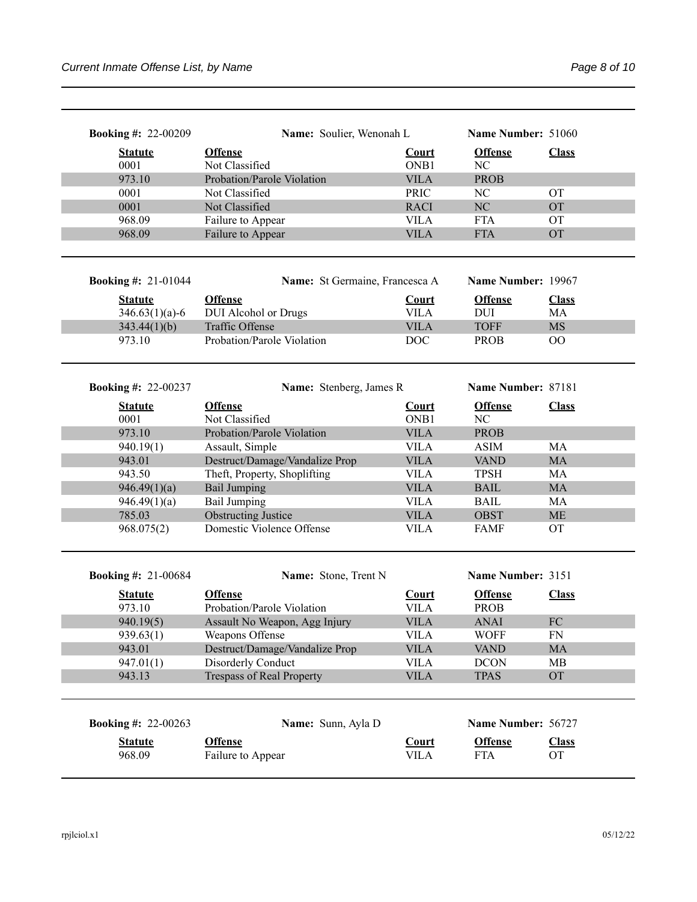| <b>Booking #: 22-00209</b> | Name: Soulier, Wenonah L            |              | Name Number: 51060 |                           |
|----------------------------|-------------------------------------|--------------|--------------------|---------------------------|
| <b>Statute</b>             | <b>Offense</b>                      | <b>Court</b> | <b>Offense</b>     | <b>Class</b>              |
| 0001                       | Not Classified                      | ONB1         | NC                 |                           |
| 973.10                     | Probation/Parole Violation          | <b>VILA</b>  | <b>PROB</b>        |                           |
| 0001                       | Not Classified                      | <b>PRIC</b>  | NC                 | <b>OT</b>                 |
| 0001                       | Not Classified                      | <b>RACI</b>  | NC                 | <b>OT</b>                 |
| 968.09                     | Failure to Appear                   | <b>VILA</b>  | <b>FTA</b>         | <b>OT</b>                 |
| 968.09                     | Failure to Appear                   | <b>VILA</b>  | <b>FTA</b>         | <b>OT</b>                 |
| <b>Booking #: 21-01044</b> | Name: St Germaine, Francesca A      |              | Name Number: 19967 |                           |
| <b>Statute</b>             | <b>Offense</b>                      | <b>Court</b> | <b>Offense</b>     | <b>Class</b>              |
| $346.63(1)(a)-6$           | DUI Alcohol or Drugs                | <b>VILA</b>  | <b>DUI</b>         | MA                        |
| 343.44(1)(b)               | Traffic Offense                     | <b>VILA</b>  | <b>TOFF</b>        | <b>MS</b>                 |
| 973.10                     | Probation/Parole Violation          | <b>DOC</b>   | <b>PROB</b>        | 00                        |
|                            |                                     |              |                    |                           |
| <b>Booking #: 22-00237</b> | Name: Stenberg, James R             |              | Name Number: 87181 |                           |
| <b>Statute</b>             | <b>Offense</b>                      | <b>Court</b> | <b>Offense</b>     | <b>Class</b>              |
| 0001                       | Not Classified                      | ONB1         | NC                 |                           |
| 973.10                     | Probation/Parole Violation          | <b>VILA</b>  | <b>PROB</b>        |                           |
| 940.19(1)                  | Assault, Simple                     | <b>VILA</b>  | <b>ASIM</b>        | MA                        |
| 943.01                     | Destruct/Damage/Vandalize Prop      | <b>VILA</b>  | <b>VAND</b>        | MA                        |
| 943.50                     | Theft, Property, Shoplifting        | <b>VILA</b>  | <b>TPSH</b>        | MA                        |
| 946.49(1)(a)               | <b>Bail Jumping</b>                 | <b>VILA</b>  | <b>BAIL</b>        | MA                        |
| 946.49(1)(a)               | <b>Bail Jumping</b>                 | <b>VILA</b>  | <b>BAIL</b>        | MA                        |
| 785.03                     | <b>Obstructing Justice</b>          | <b>VILA</b>  | <b>OBST</b>        | <b>ME</b>                 |
| 968.075(2)                 | Domestic Violence Offense           | <b>VILA</b>  | <b>FAMF</b>        | <b>OT</b>                 |
|                            |                                     |              | Name Number: 3151  |                           |
| <b>Booking #: 21-00684</b> | Name: Stone, Trent N                |              |                    |                           |
| <b>Statute</b>             | <b>Offense</b>                      | <b>Court</b> | <b>Offense</b>     | <b>Class</b>              |
| 973.10                     | Probation/Parole Violation          | <b>VILA</b>  | <b>PROB</b>        |                           |
| 940.19(5)                  | Assault No Weapon, Agg Injury       | <b>VILA</b>  | <b>ANAI</b>        | FC                        |
| 939.63(1)                  | Weapons Offense                     | <b>VILA</b>  | <b>WOFF</b>        | FN                        |
| 943.01                     | Destruct/Damage/Vandalize Prop      | <b>VILA</b>  | <b>VAND</b>        | MA                        |
| 947.01(1)                  | Disorderly Conduct                  | <b>VILA</b>  | <b>DCON</b>        | MB                        |
| 943.13                     | <b>Trespass of Real Property</b>    | <b>VILA</b>  | <b>TPAS</b>        | <b>OT</b>                 |
| <b>Booking #: 22-00263</b> | Name: Sunn, Ayla D                  |              | Name Number: 56727 |                           |
|                            |                                     |              |                    |                           |
| <b>Statute</b><br>968.09   | <b>Offense</b><br>Failure to Appear | <b>Court</b> | <b>Offense</b>     | <b>Class</b><br><b>OT</b> |
|                            |                                     | <b>VILA</b>  | <b>FTA</b>         |                           |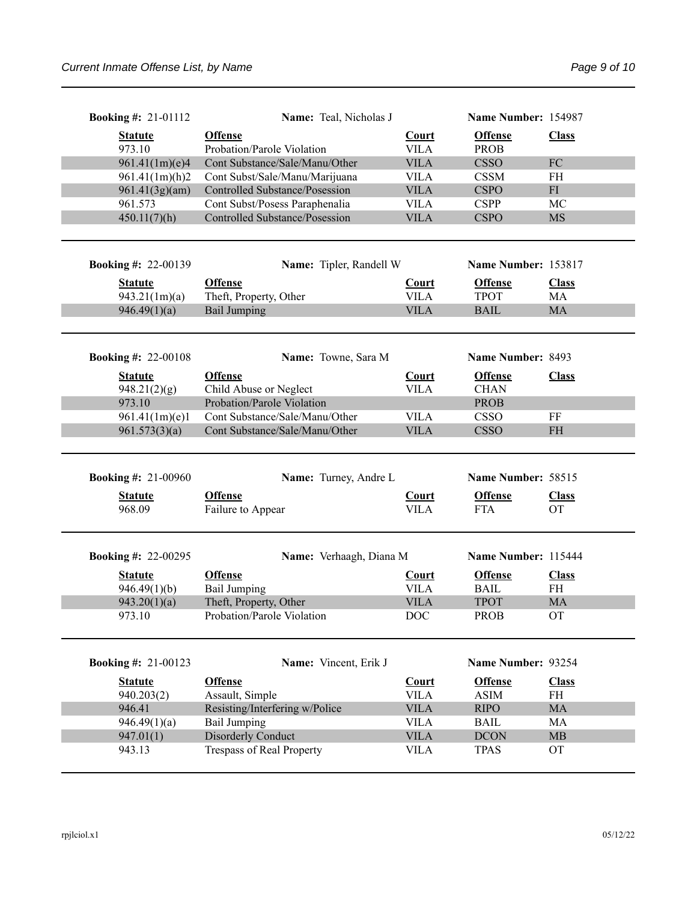| <b>Booking #: 21-01112</b> | Name: Teal, Nicholas J                |              | Name Number: 154987 |              |
|----------------------------|---------------------------------------|--------------|---------------------|--------------|
| <b>Statute</b>             | <b>Offense</b>                        | <b>Court</b> | <b>Offense</b>      | <b>Class</b> |
| 973.10                     | Probation/Parole Violation            | <b>VILA</b>  | <b>PROB</b>         |              |
| 961.41(1m)(e)4             | Cont Substance/Sale/Manu/Other        | <b>VILA</b>  | <b>CSSO</b>         | ${\rm FC}$   |
| 961.41(1m)(h)2             | Cont Subst/Sale/Manu/Marijuana        | <b>VILA</b>  | <b>CSSM</b>         | FH           |
| 961.41(3g)(am)             | Controlled Substance/Posession        | <b>VILA</b>  | <b>CSPO</b>         | ${\rm FI}$   |
| 961.573                    | Cont Subst/Posess Paraphenalia        | <b>VILA</b>  | <b>CSPP</b>         | MC           |
| 450.11(7)(h)               | <b>Controlled Substance/Posession</b> | <b>VILA</b>  | <b>CSPO</b>         | <b>MS</b>    |
|                            |                                       |              |                     |              |
| <b>Booking #: 22-00139</b> | Name: Tipler, Randell W               |              | Name Number: 153817 |              |
| <b>Statute</b>             | <b>Offense</b>                        | <b>Court</b> | <b>Offense</b>      | <b>Class</b> |
| 943.21(1m)(a)              | Theft, Property, Other                | <b>VILA</b>  | <b>TPOT</b>         | MA           |
| 946.49(1)(a)               | <b>Bail Jumping</b>                   | <b>VILA</b>  | <b>BAIL</b>         | MA           |
|                            |                                       |              |                     |              |
|                            |                                       |              |                     |              |
| <b>Booking #: 22-00108</b> | Name: Towne, Sara M                   |              | Name Number: 8493   |              |
| <b>Statute</b>             | <b>Offense</b>                        | <b>Court</b> | <b>Offense</b>      | <b>Class</b> |
| 948.21(2)(g)               | Child Abuse or Neglect                | <b>VILA</b>  | <b>CHAN</b>         |              |
| 973.10                     | Probation/Parole Violation            |              | <b>PROB</b>         |              |
| 961.41(1m)(e)1             | Cont Substance/Sale/Manu/Other        | <b>VILA</b>  | <b>CSSO</b>         | FF           |
| 961.573(3)(a)              | Cont Substance/Sale/Manu/Other        | <b>VILA</b>  | <b>CSSO</b>         | <b>FH</b>    |
| <b>Booking #: 21-00960</b> | Name: Turney, Andre L                 |              | Name Number: 58515  |              |
|                            |                                       |              |                     |              |
| <b>Statute</b>             | <b>Offense</b>                        | <b>Court</b> | <b>Offense</b>      | <b>Class</b> |
| 968.09                     | Failure to Appear                     | <b>VILA</b>  | <b>FTA</b>          | <b>OT</b>    |
|                            |                                       |              |                     |              |
| <b>Booking #: 22-00295</b> | Name: Verhaagh, Diana M               |              | Name Number: 115444 |              |
| <b>Statute</b>             | <b>Offense</b>                        | <b>Court</b> | <b>Offense</b>      | <b>Class</b> |
| 946.49(1)(b)               | <b>Bail Jumping</b>                   | <b>VILA</b>  | <b>BAIL</b>         | <b>FH</b>    |
| 943.20(1)(a)               | Theft, Property, Other                | <b>VILA</b>  | <b>TPOT</b>         | <b>MA</b>    |
| 973.10                     | Probation/Parole Violation            | DOC.         | <b>PROB</b>         | <b>OT</b>    |
|                            |                                       |              |                     |              |
| <b>Booking #: 21-00123</b> | Name: Vincent, Erik J                 |              | Name Number: 93254  |              |
| <b>Statute</b>             | <b>Offense</b>                        | <b>Court</b> | <b>Offense</b>      | <b>Class</b> |
| 940.203(2)                 | Assault, Simple                       | <b>VILA</b>  | <b>ASIM</b>         | FH           |
| 946.41                     | Resisting/Interfering w/Police        | <b>VILA</b>  | <b>RIPO</b>         | MA           |
| 946.49(1)(a)               | <b>Bail Jumping</b>                   | <b>VILA</b>  | <b>BAIL</b>         | MA           |
| 947.01(1)                  | Disorderly Conduct                    | <b>VILA</b>  | <b>DCON</b>         | MB           |
| 943.13                     | Trespass of Real Property             | <b>VILA</b>  | <b>TPAS</b>         | <b>OT</b>    |